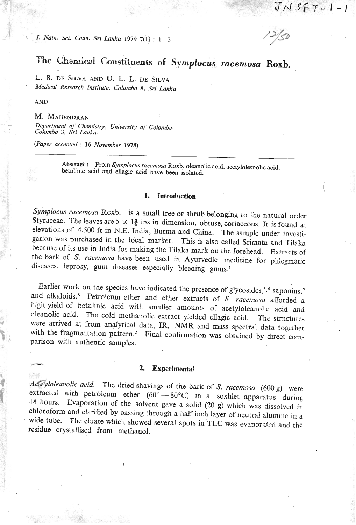*J. Natiz. Sci. Coun. Sri* **Lanka** *1979* **7(i)** : **1-3** 

 $JNSF7-1-1$ 

### **The Chemical Constituents of** *Symplocus racemosa* **Roxb.**  ب<br>.

L. **B.** DE SILVA AND U. L. L. DE SILVA *Medical Research Institute, Colombo 8, Sri Lanka* 

**AND** 

### M. MAHENDRAN

*Department of Chemistry, University of Colombo, Colombo 3, Šri Lanka.* 

*(Raper accepted* : *16 November 1978)* 

**Abstract** : **From** *Symplocus racemosa* **Roxb. oleanolic acid, acotylolesnolic acid. betuliiiic acid and ellagic acid have been isolated.** 

### ı. Introduction

*Synzplocus racemosa Roxb.* is a small tree or shrub belonging to the natural order Styraceae. The leaves are  $5 \times 1\frac{3}{4}$  ins in dimension, obtuse, coriaceous. It is found at elevations of 4,500 ft in N.E. India, Burma and China. The sample under investigation was purchased in the local market. This is also called Srimata and Tilaka because of its use in India for making the Tilaka mark on the forehead. Extracts of the bark of *S. racemosa* have been used in Ayurvedic medicine for phlegmatic diseases, leprosy, gum diseases especially bleeding gums.<sup>1</sup>

Earlier work on the species have indicated the presence of glycosides,<sup>5,6</sup> saponins,<sup>7</sup> and alkaloids.<sup>8</sup> Petroleum ether and ether extracts of *S. racemosa* afforded a high yield of betulinic acid with smaller amounts of acetyloleanolic acid and oleanolic acid. The cold methanolic extract yielded ellagic acid. The structures were arrived at from analytical data, IR, NMR and mass spectral data together with the fragmentation pattern.<sup>2</sup> Final confirmation was obtained by direct comparison with authentic samples.

# **F 2. Experimental**

Ac *yloleanolic acid.* The dried shavings of the bark of *S: racemosa* (600 *g*) were extracted with petroleum ether (60° - 80°C) in a soxhlet apparatus during extracted with petroleum ether  $(60^{\circ} - 80^{\circ}C)$  in a soxhlet apparatus during 18 hours. Evaporation of the solvent gave a solid (20 g) which was dissolved in chloroform and clarified by passing through a half inch layer of neutral alumina in a wide tube. The eluate which showed several spots in TLC was evaporated and the residue crystallised from methanol.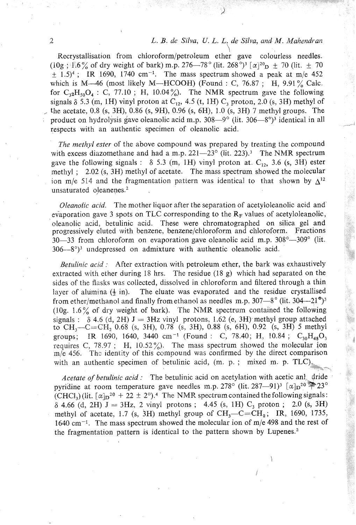## 2 **L. B.** de Silva, U. L. L<sub>.</sub> de Silva, and *M. Mahendran*

Recrystallisation from chloroform/petroleum ether gave colourless needles. (10g ; 1.6% of dry weight of bark) m.p. 276-78° (lit. 268°)<sup>3</sup> [ $\alpha$ ]<sup>20</sup><sub>D</sub>  $\pm$  70 (lit.  $\pm$  70  $\pm$  1.5)<sup>4</sup>; IR 1690, 1740 cm<sup>-1</sup>. The mass spectrum showed a peak at m/e 452 which is M-46 (most likely M-HCOOH) (Found : C, 76.87 ; H, 9.91% Calc. for  $C_{32}H_{50}O_4$ : C, 77.10; H, 10.04%). The NMR spectrum gave the following signals  $\delta$  5.3 (m, 1H) vinyl proton at C<sub>12</sub>, 4.5 (t, 1H) C<sub>3</sub> proton, 2.0 (s, 3H) methyl of the acetate, 0.8 (s, 3H), 0.86 (s, 9H), 0.96 (s, 6H), 1.0 (s, 3H) 7 methyl groups. The product on hydrolysis gave oleanolic acid m.p.  $308-9^{\circ}$  (lit.  $306-8^{\circ}$ )<sup>3</sup> identical in all respects with an authentic specimen of oleanolic acid.

' *The methyl ester* of the above compound was prepared by treating the compound with excess diazomethane and had a m.p.  $221-23^{\circ}$  (lit. 223).<sup>3</sup> The NMR spectrum gave the following signals :  $\delta$  5.3 (m, 1H) vinyl proton at. C<sub>12</sub>, 3.6 (s, 3H) ester methyl ; 2.02 (s, 3H) methyl of acetate. The mass spectrum showed the molecular ion m/e 514 and the fragmentation pattern was identical to that shown by  $\Delta^{12}$ unsaturated oleanenes.<sup>2</sup>

*Oleanolic acid.* The mother liquor after the separation of acetyloleanolic acid and' evaporation gave 3 spots on TLC corresponding to the  $R_F$  values of acetyloleanolic, oleanolic acid, betulinic acid. These were chromatographed on silica gel and progressively eluted with benzene, benzene/chloroforin and chloroform. Fractions  $30-33$  from chloroform on evaporation gave oleanolic acid m.p.  $308^\circ - 309^\circ$  (lit.  $306-8°$ <sup>3</sup> undepressed on admixture with authentic oleanolic acid.

*Betulinic acid* : After extraction with petroleum ether, the bark was exhaustively extracted with ether during 18 hrs. The residue  $(18 g)$  which had separated on the sides of the flasks was collected, dissolved in chloroform and filtered through a thin layer of alumina  $(\frac{1}{2})$  in). The eluate was evaporated and the residue crystallised from ether/methanol and finally from ethanol as needles m.p.  $307-8^{\circ}$  (lit.  $304-21^{\circ}$ )<sup>3</sup> (10g.  $1.6\%$  of dry weight of bark). The NMR spectrum contained the following signals :  $\delta$  4.6 (d, 2H) J = 3Hz vinyl protons, 1.62 (e, 3H) methyl group attached to  $CH_3-C=CH_2$  0.68 (s, 3H), 0.78 (s, 3H), 0.88 (s, 6H), 0.92 (s, 3H) 5 methyl groups; IR 1690, 1640, 3440 cm<sup>-1</sup> (Found : C, 78.40; H, 10.84 ;  $C_{30}H_{48}O_3$ requires *C*,  $78.97$ ; H,  $10.52\%$ . The mass spectrum showed the molecular ion  $m/e$  456. The identity of this compound was confirmed by the direct comparison with an authentic specimen of betulinic acid,  $(m. p. ;$  mixed m. p. TLC). *-4* -,

*Acetate of betulinic acid:* The betulinic acid on acetylation with acetic ant dride pyridine at room temperature gave needles m.p. 278° (lit. 287—91)<sup>3</sup>  $\alpha$ ] $\alpha^{20}$  $\approx$  23°  $(CHCI<sub>3</sub>)$  (lit.  $[\alpha]_D^{20} + 22 \pm 2^{\circ}$ ).<sup>4</sup> The NMR spectrum contained the following signals:  $\delta$  4.66 (d, 2H) J = 3Hz, 2 vinyl protons; 4.45 (s, 1H) C<sub>3</sub> proton; 2.0 (s, 3H) methyl of acetate, 1.7 (s, 3H) methyl group of  $CH_3-C=CH_2$ ; IR, 1690, 1735, 1640 cm<sup>-1</sup>. The mass spectrum showed the molecular ion of m/e 498 and the rest of the fragmentation pattern is identical to the pattern shown by Lupenes. $2$